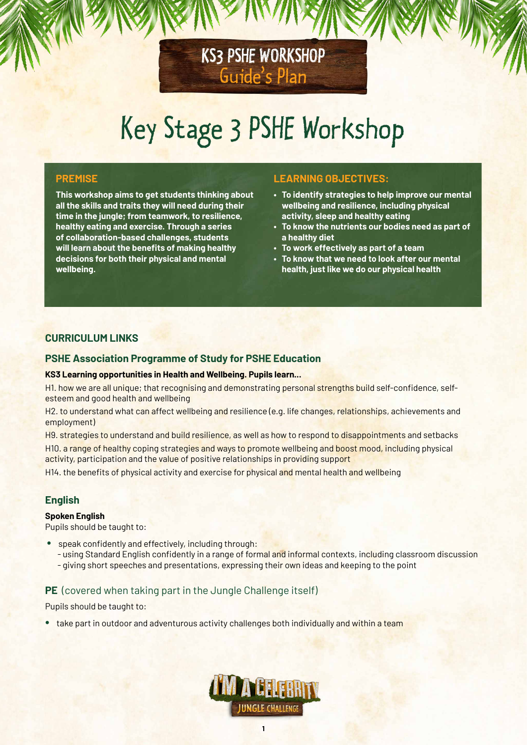# Key Stage 3 PSHE Workshop

KS3 PSHE WORKSHOP

Guide's Plan

## **PREMISE**

**This workshop aims to get students thinking about all the skills and traits they will need during their time in the jungle; from teamwork, to resilience, healthy eating and exercise. Through a series of collaboration-based challenges, students will learn about the benefits of making healthy decisions for both their physical and mental wellbeing.** 

# **LEARNING OBJECTIVES:**

- **To identify strategies to help improve our mental wellbeing and resilience, including physical activity, sleep and healthy eating**
- **To know the nutrients our bodies need as part of a healthy diet**
- **To work effectively as part of a team**
- **To know that we need to look after our mental health, just like we do our physical health**

# **CURRICULUM LINKS**

### **PSHE Association Programme of Study for PSHE Education**

#### **KS3 Learning opportunities in Health and Wellbeing. Pupils learn...**

H1. how we are all unique; that recognising and demonstrating personal strengths build self-confidence, selfesteem and good health and wellbeing

H2. to understand what can affect wellbeing and resilience (e.g. life changes, relationships, achievements and employment)

H9. strategies to understand and build resilience, as well as how to respond to disappointments and setbacks

H10. a range of healthy coping strategies and ways to promote wellbeing and boost mood, including physical activity, participation and the value of positive relationships in providing support

H14. the benefits of physical activity and exercise for physical and mental health and wellbeing

# **English**

#### **Spoken English**

Pupils should be taught to:

- speak confidently and effectively, including through:
	- using Standard English confidently in a range of formal and informal contexts, including classroom discussion - giving short speeches and presentations, expressing their own ideas and keeping to the point

#### **PE** (covered when taking part in the Jungle Challenge itself)

Pupils should be taught to:

• take part in outdoor and adventurous activity challenges both individually and within a team

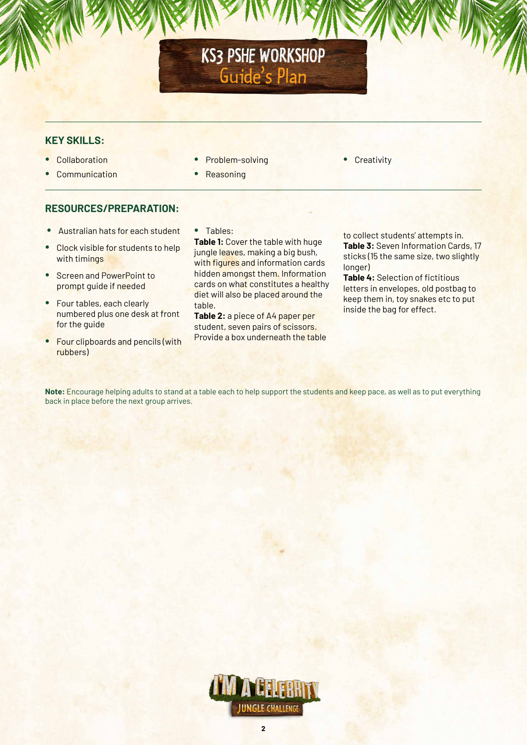# KS3 PSHE WORKSHOP Guide's Plan

# **KEY SKILLS:**

- Collaboration
- **Communication**
- Problem-solving
	- **Reasoning**

• Creativity

# **RESOURCES/PREPARATION:**

- Australian hats for each student
- Clock visible for students to help with timings
- Screen and PowerPoint to prompt guide if needed
- Four tables, each clearly numbered plus one desk at front for the guide
- Four clipboards and pencils (with rubbers)

• Tables:

**Table 1:** Cover the table with huge jungle leaves, making a big bush, with figures and information cards hidden amongst them. Information cards on what constitutes a healthy diet will also be placed around the table.

**Table 2:** a piece of A4 paper per student, seven pairs of scissors. Provide a box underneath the table to collect students' attempts in. **Table 3:** Seven Information Cards, 17 sticks (15 the same size, two slightly longer)

**Table 4:** Selection of fictitious letters in envelopes, old postbag to keep them in, toy snakes etc to put inside the bag for effect.

**Note:** Encourage helping adults to stand at a table each to help support the students and keep pace, as well as to put everything back in place before the next group arrives.

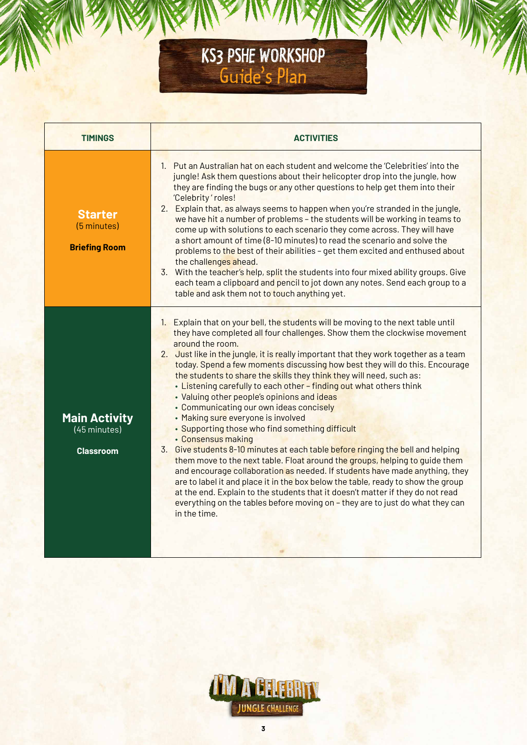# KS3 PSHE WORKSHOP Guide's Plan

| <b>TIMINGS</b>                                                                | <b>ACTIVITIES</b>                                                                                                                                                                                                                                                                                                                                                                                                                                                                                                                                                                                                                                                                                                                                                                                                                                                                                                                                                                                                                                                                                                                                                                                                                         |
|-------------------------------------------------------------------------------|-------------------------------------------------------------------------------------------------------------------------------------------------------------------------------------------------------------------------------------------------------------------------------------------------------------------------------------------------------------------------------------------------------------------------------------------------------------------------------------------------------------------------------------------------------------------------------------------------------------------------------------------------------------------------------------------------------------------------------------------------------------------------------------------------------------------------------------------------------------------------------------------------------------------------------------------------------------------------------------------------------------------------------------------------------------------------------------------------------------------------------------------------------------------------------------------------------------------------------------------|
| <b>Starter</b><br>(5 minutes)<br><b>Briefing Room</b>                         | 1. Put an Australian hat on each student and welcome the 'Celebrities' into the<br>jungle! Ask them questions about their helicopter drop into the jungle, how<br>they are finding the bugs or any other questions to help get them into their<br>'Celebrity' roles!<br>2. Explain that, as always seems to happen when you're stranded in the jungle,<br>we have hit a number of problems - the students will be working in teams to<br>come up with solutions to each scenario they come across. They will have<br>a short amount of time (8-10 minutes) to read the scenario and solve the<br>problems to the best of their abilities - get them excited and enthused about<br>the challenges ahead.<br>3. With the teacher's help, split the students into four mixed ability groups. Give<br>each team a clipboard and pencil to jot down any notes. Send each group to a<br>table and ask them not to touch anything yet.                                                                                                                                                                                                                                                                                                           |
| <b>Main Activity</b><br>$\overline{(45 \text{ minutes})}$<br><b>Classroom</b> | 1. Explain that on your bell, the students will be moving to the next table until<br>they have completed all four challenges. Show them the clockwise movement<br>around the room.<br>2. Just like in the jungle, it is really important that they work together as a team<br>today. Spend a few moments discussing how best they will do this. Encourage<br>the students to share the skills they think they will need, such as:<br>. Listening carefully to each other - finding out what others think<br>• Valuing other people's opinions and ideas<br>• Communicating our own ideas concisely<br>• Making sure everyone is involved<br>• Supporting those who find something difficult<br>• Consensus making<br>3. Give students 8-10 minutes at each table before ringing the bell and helping<br>them move to the next table. Float around the groups, helping to guide them<br>and encourage collaboration as needed. If students have made anything, they<br>are to label it and place it in the box below the table, ready to show the group<br>at the end. Explain to the students that it doesn't matter if they do not read<br>everything on the tables before moving on - they are to just do what they can<br>in the time. |